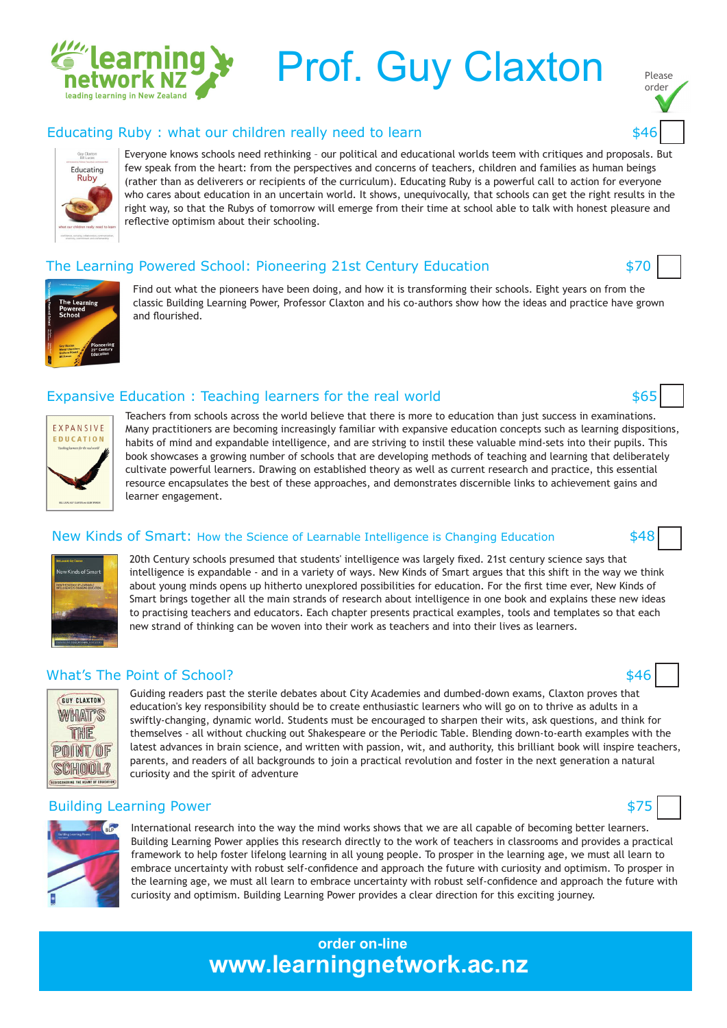

# Prof. Guy Claxton

#### Educating Ruby : what our children really need to learn **\$46**



Everyone knows schools need rethinking – our political and educational worlds teem with critiques and proposals. But few speak from the heart: from the perspectives and concerns of teachers, children and families as human beings (rather than as deliverers or recipients of the curriculum). Educating Ruby is a powerful call to action for everyone who cares about education in an uncertain world. It shows, unequivocally, that schools can get the right results in the right way, so that the Rubys of tomorrow will emerge from their time at school able to talk with honest pleasure and reflective optimism about their schooling.

#### The Learning Powered School: Pioneering 21st Century Education  $$70$



Find out what the pioneers have been doing, and how it is transforming their schools. Eight years on from the classic Building Learning Power, Professor Claxton and his co-authors show how the ideas and practice have grown and fourished.

#### Expansive Education : Teaching learners for the real world  $$65$



Teachers from schools across the world believe that there is more to education than just success in examinations. Many practitioners are becoming increasingly familiar with expansive education concepts such as learning dispositions, habits of mind and expandable intelligence, and are striving to instil these valuable mind-sets into their pupils. This book showcases a growing number of schools that are developing methods of teaching and learning that deliberately cultivate powerful learners. Drawing on established theory as well as current research and practice, this essential resource encapsulates the best of these approaches, and demonstrates discernible links to achievement gains and learner engagement.

#### New Kinds of Smart: How the Science of Learnable Intelligence is Changing Education \$48



20th Century schools presumed that students' intelligence was largely fxed. 21st century science says that intelligence is expandable - and in a variety of ways. New Kinds of Smart argues that this shift in the way we think about young minds opens up hitherto unexplored possibilities for education. For the frst time ever, New Kinds of Smart brings together all the main strands of research about intelligence in one book and explains these new ideas to practising teachers and educators. Each chapter presents practical examples, tools and templates so that each new strand of thinking can be woven into their work as teachers and into their lives as learners.

#### What's The Point of School? \$46



Guiding readers past the sterile debates about City Academies and dumbed-down exams, Claxton proves that education's key responsibility should be to create enthusiastic learners who will go on to thrive as adults in a swiftly-changing, dynamic world. Students must be encouraged to sharpen their wits, ask questions, and think for themselves - all without chucking out Shakespeare or the Periodic Table. Blending down-to-earth examples with the latest advances in brain science, and written with passion, wit, and authority, this brilliant book will inspire teachers, parents, and readers of all backgrounds to join a practical revolution and foster in the next generation a natural curiosity and the spirit of adventure

#### Building Learning Power \$75



International research into the way the mind works shows that we are all capable of becoming better learners. Building Learning Power applies this research directly to the work of teachers in classrooms and provides a practical framework to help foster lifelong learning in all young people. To prosper in the learning age, we must all learn to embrace uncertainty with robust self-confdence and approach the future with curiosity and optimism. To prosper in the learning age, we must all learn to embrace uncertainty with robust self-confdence and approach the future with curiosity and optimism. Building Learning Power provides a clear direction for this exciting journey.